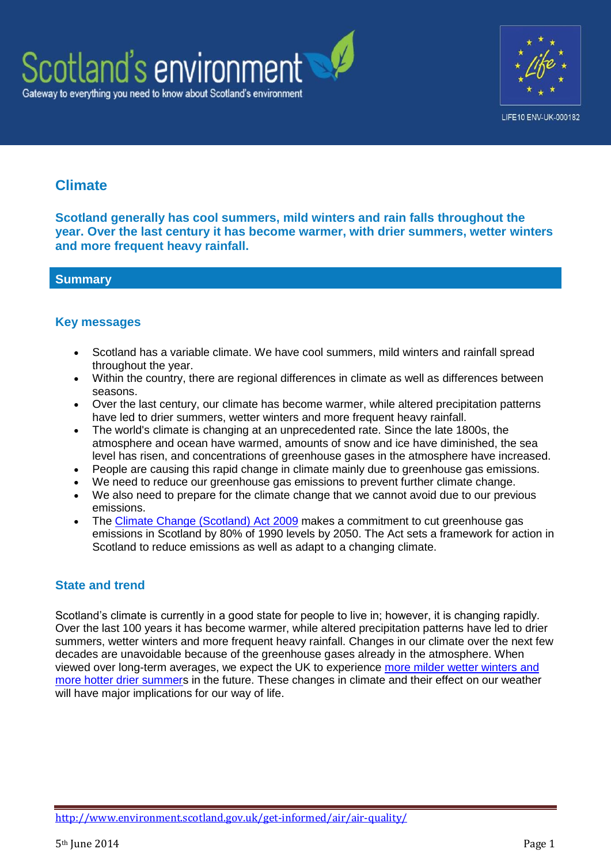



# **Climate**

**Scotland generally has cool summers, mild winters and rain falls throughout the year. Over the last century it has become warmer, with drier summers, wetter winters and more frequent heavy rainfall.**

# **Summary**

# **Key messages**

- Scotland has a variable climate. We have cool summers, mild winters and rainfall spread throughout the year.
- Within the country, there are regional differences in climate as well as differences between seasons.
- Over the last century, our climate has become warmer, while altered precipitation patterns have led to drier summers, wetter winters and more frequent heavy rainfall.
- The world's climate is changing at an unprecedented rate. Since the late 1800s, the atmosphere and ocean have warmed, amounts of snow and ice have diminished, the sea level has risen, and concentrations of greenhouse gases in the atmosphere have increased.
- People are causing this rapid change in climate mainly due to greenhouse gas emissions.
- We need to reduce our greenhouse gas emissions to prevent further climate change.
- We also need to prepare for the climate change that we cannot avoid due to our previous emissions.
- The [Climate Change \(Scotland\) Act 2009](http://www.scotland.gov.uk/Topics/Environment/climatechange/scotlands-action/climatechangeact) makes a commitment to cut greenhouse gas emissions in Scotland by 80% of 1990 levels by 2050. The Act sets a framework for action in Scotland to reduce emissions as well as adapt to a changing climate.

# **State and trend**

Scotland's climate is currently in a good state for people to live in; however, it is changing rapidly. Over the last 100 years it has become warmer, while altered precipitation patterns have led to drier summers, wetter winters and more frequent heavy rainfall. Changes in our climate over the next few decades are unavoidable because of the greenhouse gases already in the atmosphere. When viewed over long-term averages, we expect the UK to experience [more milder wetter winters and](http://www.metoffice.gov.uk/media/pdf/4/8/Drivers_and_impacts_of_seasonal_weather_in_the_UK.pdf)  [more hotter drier summers](http://www.metoffice.gov.uk/media/pdf/4/8/Drivers_and_impacts_of_seasonal_weather_in_the_UK.pdf) in the future. These changes in climate and their effect on our weather will have major implications for our way of life.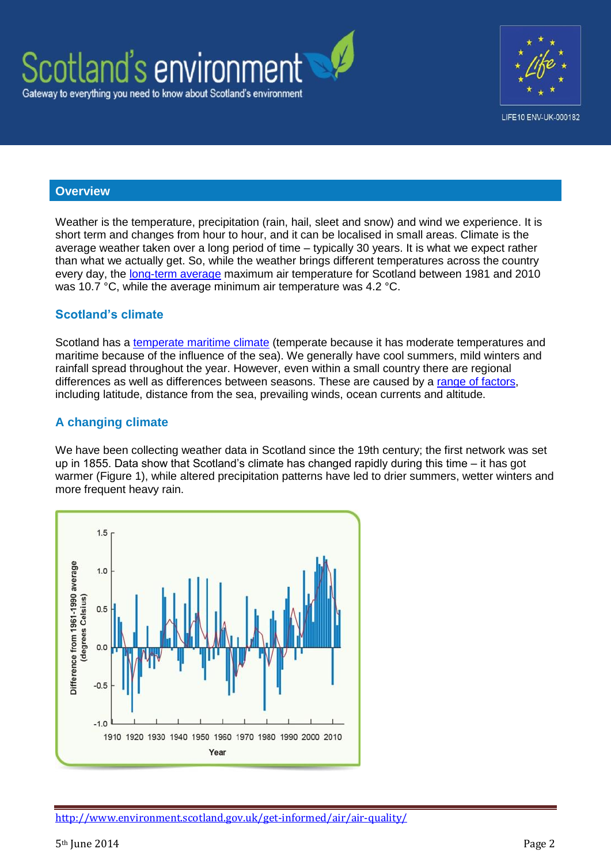



#### **Overview**

Weather is the temperature, precipitation (rain, hail, sleet and snow) and wind we experience. It is short term and changes from hour to hour, and it can be localised in small areas. Climate is the average weather taken over a long period of time – typically 30 years. It is what we expect rather than what we actually get. So, while the weather brings different temperatures across the country every day, the [long-term average](http://www.metoffice.gov.uk/public/weather/climate/edinburgh-edinburgh) maximum air temperature for Scotland between 1981 and 2010 was 10.7 °C, while the average minimum air temperature was 4.2 °C.

#### **Scotland's climate**

Scotland has a [temperate maritime climate](http://www.metoffice.gov.uk/climate-guide/climate/zones) (temperate because it has moderate temperatures and maritime because of the influence of the sea). We generally have cool summers, mild winters and rainfall spread throughout the year. However, even within a small country there are regional differences as well as differences between seasons. These are caused by a [range of factors,](http://www.metoffice.gov.uk/climate-guide/climate/local) including latitude, distance from the sea, prevailing winds, ocean currents and altitude.

### **A changing climate**

We have been collecting weather data in Scotland since the 19th century; the first network was set up in 1855. Data show that Scotland's climate has changed rapidly during this time – it has got warmer (Figure 1), while altered precipitation patterns have led to drier summers, wetter winters and more frequent heavy rain.

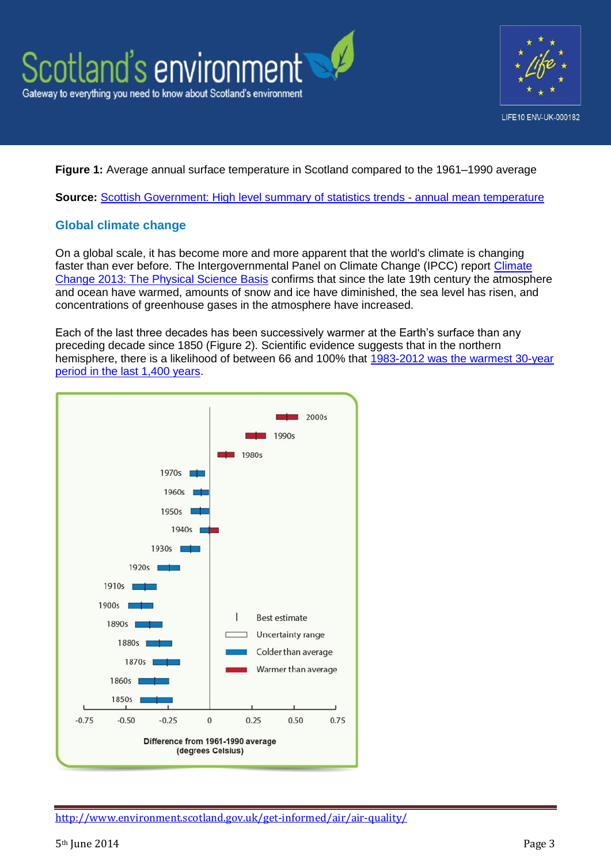



### **Figure 1:** Average annual surface temperature in Scotland compared to the 1961–1990 average

**Source:** [Scottish Government: High level summary of statistics trends -](http://www.scotland.gov.uk/Topics/Statistics/Browse/Environment/TrendExcel) annual mean temperature

# **Global climate change**

On a global scale, it has become more and more apparent that the world's climate is changing faster than ever before. The Intergovernmental Panel on [Climate](http://www.climatechange2013.org/) Change (IPCC) report Climate [Change 2013: The Physical Science Basis](http://www.climatechange2013.org/) confirms that since the late 19th century the atmosphere and ocean have warmed, amounts of snow and ice have diminished, the sea level has risen, and concentrations of greenhouse gases in the atmosphere have increased.

Each of the last three decades has been successively warmer at the Earth's surface than any preceding decade since 1850 (Figure 2). Scientific evidence suggests that in the northern hemisphere, there is a likelihood of between 66 and 100% that [1983-2012 was the warmest 30-year](http://www.climatechange2013.org/images/report/WG1AR5_SPM_FINAL.pdf)  [period in the last 1,400 years.](http://www.climatechange2013.org/images/report/WG1AR5_SPM_FINAL.pdf)

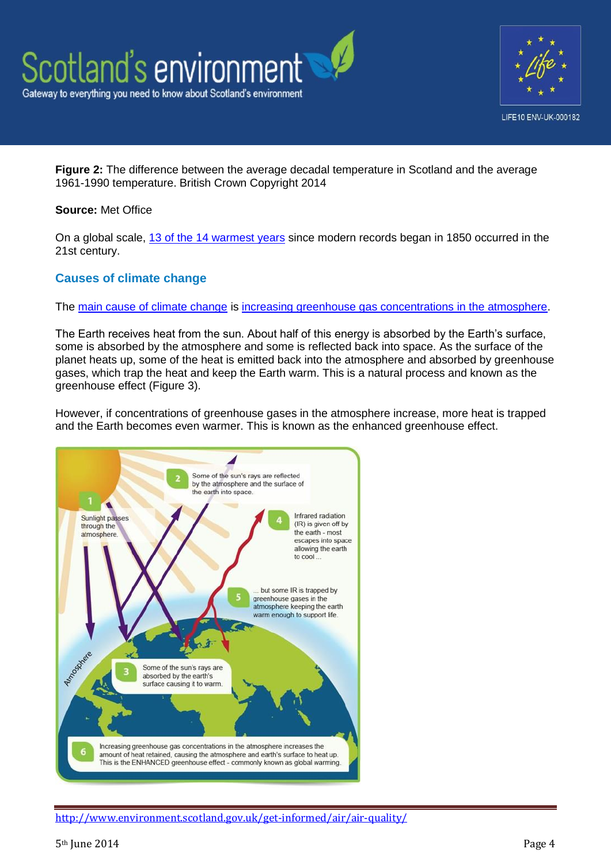



**Figure 2:** The difference between the average decadal temperature in Scotland and the average 1961-1990 temperature. British Crown Copyright 2014

#### **Source:** Met Office

On a global scale, [13 of the 14 warmest years](https://www.wmo.int/pages/mediacentre/press_releases/pr_983_en.html) since modern records began in 1850 occurred in the 21st century.

# **Causes of climate change**

The [main cause of climate change](http://www.metoffice.gov.uk/news/in-depth/climate-infographic) is [increasing greenhouse gas concentrations in the atmosphere.](http://www.climatechange2013.org/images/report/WG1AR5_SPM_FINAL.pdf)

The Earth receives heat from the sun. About half of this energy is absorbed by the Earth's surface, some is absorbed by the atmosphere and some is reflected back into space. As the surface of the planet heats up, some of the heat is emitted back into the atmosphere and absorbed by greenhouse gases, which trap the heat and keep the Earth warm. This is a natural process and known as the greenhouse effect (Figure 3).

However, if concentrations of greenhouse gases in the atmosphere increase, more heat is trapped and the Earth becomes even warmer. This is known as the enhanced greenhouse effect.

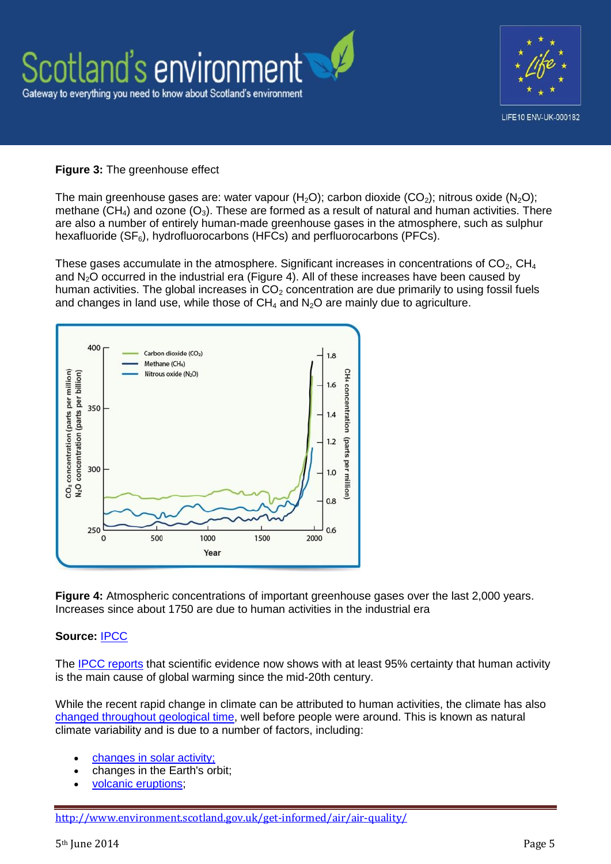

#### **Figure 3:** The greenhouse effect

The main greenhouse gases are: water vapour (H<sub>2</sub>O); carbon dioxide (CO<sub>2</sub>); nitrous oxide (N<sub>2</sub>O); methane (CH<sub>4</sub>) and ozone (O<sub>3</sub>). These are formed as a result of natural and human activities. There are also a number of entirely human-made greenhouse gases in the atmosphere, such as sulphur hexafluoride  $(SF_6)$ , hydrofluorocarbons (HFCs) and perfluorocarbons (PFCs).

These gases accumulate in the atmosphere. Significant increases in concentrations of  $CO<sub>2</sub>$ , CH<sub>4</sub> and  $N_2O$  occurred in the industrial era (Figure 4). All of these increases have been caused by human activities. The global increases in  $CO<sub>2</sub>$  concentration are due primarily to using fossil fuels and changes in land use, while those of  $CH_4$  and  $N_2O$  are mainly due to agriculture.



**Figure 4:** Atmospheric concentrations of important greenhouse gases over the last 2,000 years. Increases since about 1750 are due to human activities in the industrial era

#### **Source:** [IPCC](http://www.ipcc.ch/report/ar4/wg1/)

The [IPCC reports](http://www.climatechange2013.org/) that scientific evidence now shows with at least 95% certainty that human activity is the main cause of global warming since the mid-20th century.

While the recent rapid change in climate can be attributed to human activities, the climate has also [changed throughout geological time,](http://www.bgs.ac.uk/discoveringGeology/climateChange/greenhouseEarth.html) well before people were around. This is known as natural climate variability and is due to a number of factors, including:

- [changes in solar activity;](http://www.bgs.ac.uk/discoveringGeology/climateChange/general/causes.html)
- changes in the Earth's orbit;
- [volcanic eruptions;](http://volcanoes.usgs.gov/hazards/gas/climate.php)

<http://www.environment.scotland.gov.uk/get-informed/air/air-quality/>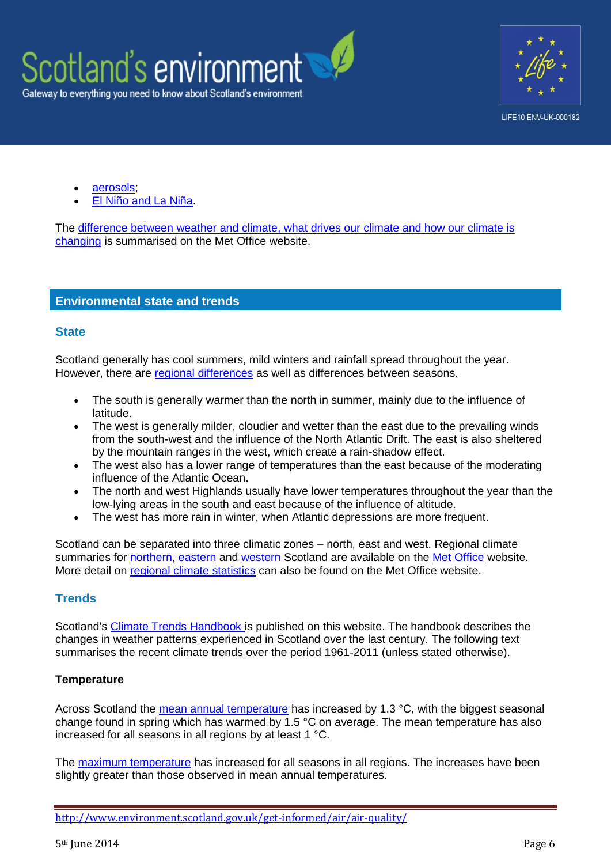



- [aerosols;](http://www.metoffice.gov.uk/climate-change/guide/science/explained/aerosols)
- [El Niño and La Niña.](http://www.metoffice.gov.uk/research/climate/seasonal-to-decadal/gpc-outlooks/el-nino-la-nina/enso-description)

The [difference between weather and climate, what drives our climate and how our climate is](http://www.metoffice.gov.uk/news/in-depth/climate-infographic)  [changing](http://www.metoffice.gov.uk/news/in-depth/climate-infographic) is summarised on the Met Office website.

### **Environmental state and trends**

#### **State**

Scotland generally has cool summers, mild winters and rainfall spread throughout the year. However, there are [regional differences](http://www.metoffice.gov.uk/climate-guide/climate/local) as well as differences between seasons.

- The south is generally warmer than the north in summer, mainly due to the influence of latitude.
- The west is generally milder, cloudier and wetter than the east due to the prevailing winds from the south-west and the influence of the North Atlantic Drift. The east is also sheltered by the mountain ranges in the west, which create a rain-shadow effect.
- The west also has a lower range of temperatures than the east because of the moderating influence of the Atlantic Ocean.
- The north and west Highlands usually have lower temperatures throughout the year than the low-lying areas in the south and east because of the influence of altitude.
- The west has more rain in winter, when Atlantic depressions are more frequent.

Scotland can be separated into three climatic zones – north, east and west. Regional climate summaries for [northern,](http://www.metoffice.gov.uk/climate/uk/regional-climates/ns) [eastern](http://www.metoffice.gov.uk/climate/uk/regional-climates/es) and [western](http://www.metoffice.gov.uk/climate/uk/regional-climates/ws) Scotland are available on the [Met Office](http://www.metoffice.gov.uk/climate) website. More detail on [regional climate statistics](http://www.metoffice.gov.uk/climate/uk/summaries/datasets) can also be found on the Met Office website.

### **Trends**

Scotland's [Climate Trends Handbook](http://www.environment.scotland.gov.uk/climate_trends_handbook/) is published on this website. The handbook describes the changes in weather patterns experienced in Scotland over the last century. The following text summarises the recent climate trends over the period 1961-2011 (unless stated otherwise).

#### **[Temperature](http://www.environment.scotland.gov.uk/climate_trends_handbook/Chapter01/1_00.html)**

Across Scotland the [mean annual temperature](http://www.environment.scotland.gov.uk/climate_trends_handbook/Chapter01/1_00.html) has increased by 1.3 °C, with the biggest seasonal change found in spring which has warmed by 1.5 °C on average. The mean temperature has also increased for all seasons in all regions by at least 1 °C.

The [maximum temperature](http://www.environment.scotland.gov.uk/climate_trends_handbook/Chapter01/1_02.html) has increased for all seasons in all regions. The increases have been slightly greater than those observed in mean annual temperatures.

<http://www.environment.scotland.gov.uk/get-informed/air/air-quality/>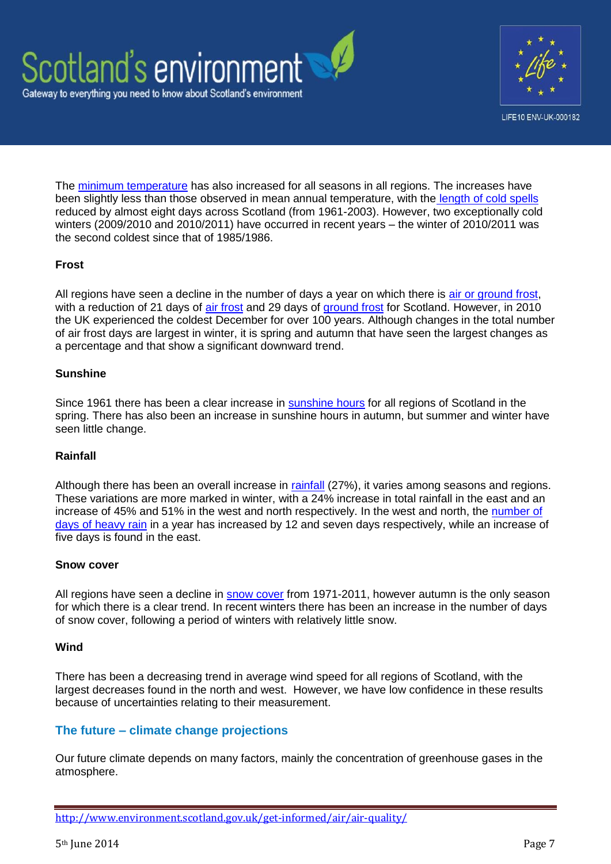



The [minimum temperature](http://www.environment.scotland.gov.uk/climate_trends_handbook/Chapter01/1_03.html) has also increased for all seasons in all regions. The increases have been slightly less than those observed in mean annual temperature, with the [length of cold spells](http://www.environment.scotland.gov.uk/climate_trends_handbook/Chapter01/1_05.html) reduced by almost eight days across Scotland (from 1961-2003). However, two exceptionally cold winters (2009/2010 and 2010/2011) have occurred in recent years – the winter of 2010/2011 was the second coldest since that of 1985/1986.

### **Frost**

All regions have seen a decline in the number of days a year on which there is [air or ground frost,](http://www.metoffice.gov.uk/learning/frost/types-of-frost) with a reduction of 21 days of [air frost](http://www.environment.scotland.gov.uk/climate_trends_handbook/Chapter01/1_11.html) and 29 days of [ground frost](http://www.environment.scotland.gov.uk/climate_trends_handbook/Chapter01/1_12.html) for Scotland. However, in 2010 the UK experienced the coldest December for over 100 years. Although changes in the total number of air frost days are largest in winter, it is spring and autumn that have seen the largest changes as a percentage and that show a significant downward trend.

#### **Sunshine**

Since 1961 there has been a clear increase in [sunshine hours](http://www.environment.scotland.gov.uk/climate_trends_handbook/Chapter02/2_07.html) for all regions of Scotland in the spring. There has also been an increase in sunshine hours in autumn, but summer and winter have seen little change.

#### **Rainfall**

Although there has been an overall increase in [rainfall](http://www.environment.scotland.gov.uk/climate_trends_handbook/Chapter02/2_01.html) (27%), it varies among seasons and regions. These variations are more marked in winter, with a 24% increase in total rainfall in the east and an increase of 45% and 51% in the west and north respectively. In the west and north, the [number](http://www.environment.scotland.gov.uk/climate_trends_handbook/Chapter02/2_04.html) of [days of heavy rain](http://www.environment.scotland.gov.uk/climate_trends_handbook/Chapter02/2_04.html) in a year has increased by 12 and seven days respectively, while an increase of five days is found in the east.

#### **Snow cover**

All regions have seen a decline in [snow cover](http://www.environment.scotland.gov.uk/climate_trends_handbook/Chapter02/2_05.html) from 1971-2011, however autumn is the only season for which there is a clear trend. In recent winters there has been an increase in the number of days of snow cover, following a period of winters with relatively little snow.

#### **Wind**

There has been a decreasing trend in average wind speed for all regions of Scotland, with the largest decreases found in the north and west. However, we have low confidence in these results because of uncertainties relating to their measurement.

### **The future – climate change projections**

Our future climate depends on many factors, mainly the concentration of greenhouse gases in the atmosphere.

<http://www.environment.scotland.gov.uk/get-informed/air/air-quality/>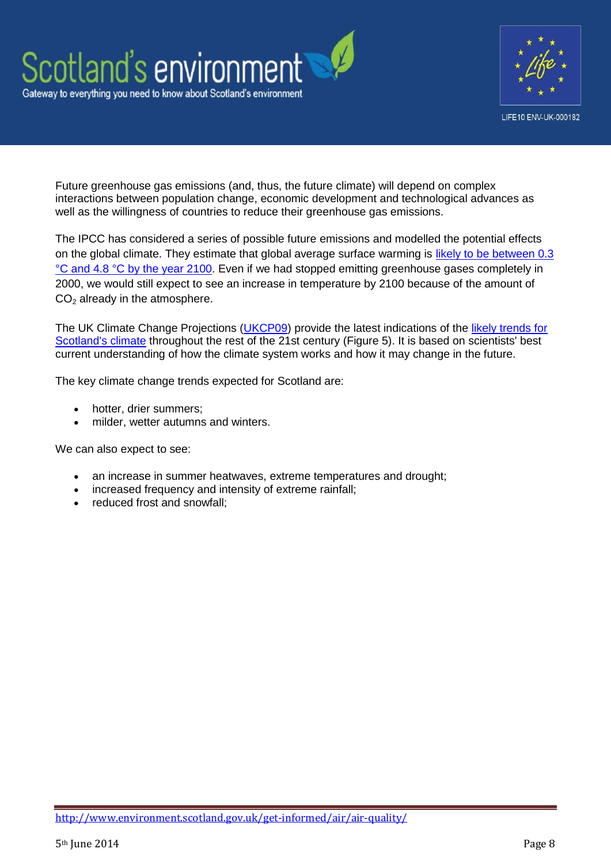



Future greenhouse gas emissions (and, thus, the future climate) will depend on complex interactions between population change, economic development and technological advances as well as the willingness of countries to reduce their greenhouse gas emissions.

The IPCC has considered a series of possible future emissions and modelled the potential effects on the global climate. They estimate that global average surface warming is [likely to be between 0.3](http://www.climatechange2013.org/images/report/WG1AR5_Chapter12_FINAL.pdf)  [°C and 4.8 °C by the year 2100.](http://www.climatechange2013.org/images/report/WG1AR5_Chapter12_FINAL.pdf) Even if we had stopped emitting greenhouse gases completely in 2000, we would still expect to see an increase in temperature by 2100 because of the amount of  $CO<sub>2</sub>$  already in the atmosphere.

The UK Climate Change Projections [\(UKCP09\)](http://www.ukcip.org.uk/) provide the latest indications of the likely trends for [Scotland's climate](http://www.environment.scotland.gov.uk/get-interactive/data/scottish-climate-projections/) throughout the rest of the 21st century (Figure 5). It is based on scientists' best current understanding of how the climate system works and how it may change in the future.

The key climate change trends expected for Scotland are:

- hotter, drier summers;
- milder, wetter autumns and winters.

We can also expect to see:

- an increase in summer heatwaves, extreme temperatures and drought;
- increased frequency and intensity of extreme rainfall;
- reduced frost and snowfall: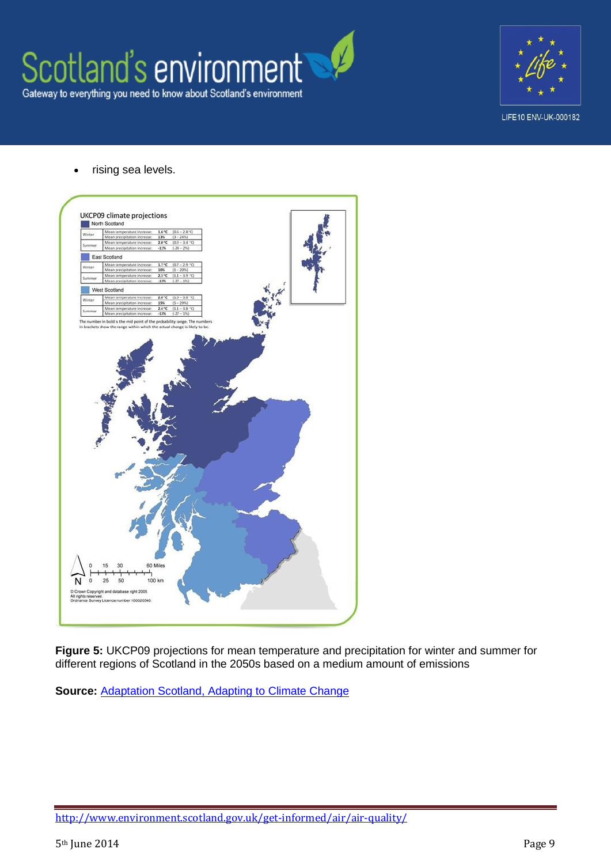



rising sea levels.



**Figure 5:** UKCP09 projections for mean temperature and precipitation for winter and summer for different regions of Scotland in the 2050s based on a medium amount of emissions

**Source: [Adaptation Scotland, Adapting to Climate Change](http://www.adaptationscotland.org.uk/Upload/Documents/IntrotoadaptationforpublicsectorFINAL_2.pdf)** 

<http://www.environment.scotland.gov.uk/get-informed/air/air-quality/>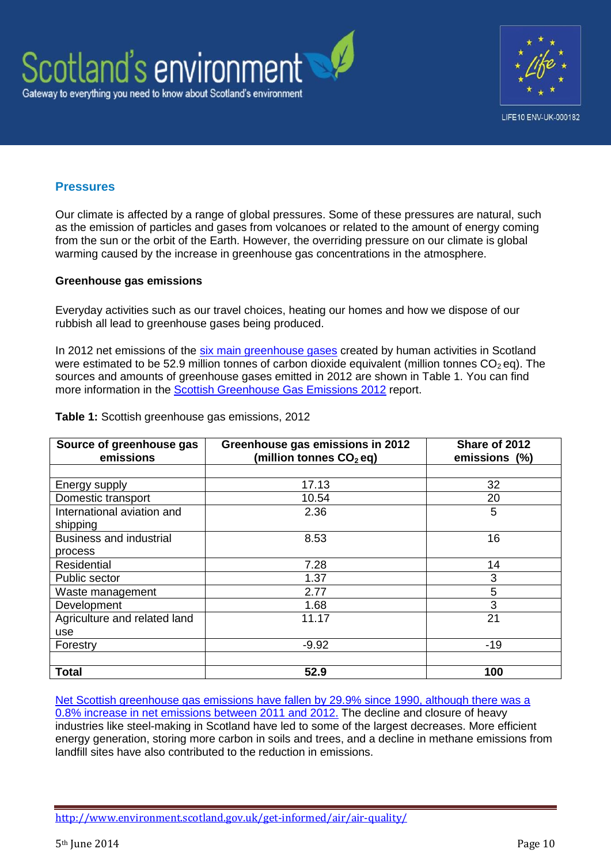



#### **Pressures**

Our climate is affected by a range of global pressures. Some of these pressures are natural, such as the emission of particles and gases from volcanoes or related to the amount of energy coming from the sun or the orbit of the Earth. However, the overriding pressure on our climate is global warming caused by the increase in greenhouse gas concentrations in the atmosphere.

#### **Greenhouse gas emissions**

Everyday activities such as our travel choices, heating our homes and how we dispose of our rubbish all lead to greenhouse gases being produced.

In 2012 net emissions of the [six main greenhouse gases](http://unfccc.int/kyoto_protocol/items/3145.php) created by human activities in Scotland were estimated to be 52.9 million tonnes of carbon dioxide equivalent (million tonnes  $CO<sub>2</sub>$  eq). The sources and amounts of greenhouse gases emitted in 2012 are shown in Table 1. You can find more information in the [Scottish Greenhouse Gas Emissions 2012](http://www.scotland.gov.uk/Resource/0045/00452084.pdf) report.

| Source of greenhouse gas<br>emissions | Greenhouse gas emissions in 2012<br>(million tonnes $CO2$ eg) | Share of 2012<br>emissions (%) |
|---------------------------------------|---------------------------------------------------------------|--------------------------------|
|                                       |                                                               |                                |
| Energy supply                         | 17.13                                                         | 32                             |
| Domestic transport                    | 10.54                                                         | 20                             |
| International aviation and            | 2.36                                                          | 5                              |
| shipping                              |                                                               |                                |
| <b>Business and industrial</b>        | 8.53                                                          | 16                             |
| process                               |                                                               |                                |
| Residential                           | 7.28                                                          | 14                             |
| Public sector                         | 1.37                                                          | 3                              |
| Waste management                      | 2.77                                                          | 5                              |
| Development                           | 1.68                                                          | 3                              |
| Agriculture and related land          | 11.17                                                         | 21                             |
| use                                   |                                                               |                                |
| Forestry                              | $-9.92$                                                       | $-19$                          |
|                                       |                                                               |                                |
| <b>Total</b>                          | 52.9                                                          | 100                            |

**Table 1:** Scottish greenhouse gas emissions, 2012

[Net Scottish greenhouse gas emissions have fallen by 29.9% since 1990, although there was a](http://www.scotland.gov.uk/Resource/0045/00452084.pdf)  [0.8% increase in net emissions between 2011 and 2012.](http://www.scotland.gov.uk/Resource/0045/00452084.pdf) The decline and closure of heavy industries like steel-making in Scotland have led to some of the largest decreases. More efficient energy generation, storing more carbon in soils and trees, and a decline in methane emissions from landfill sites have also contributed to the reduction in emissions.

<http://www.environment.scotland.gov.uk/get-informed/air/air-quality/>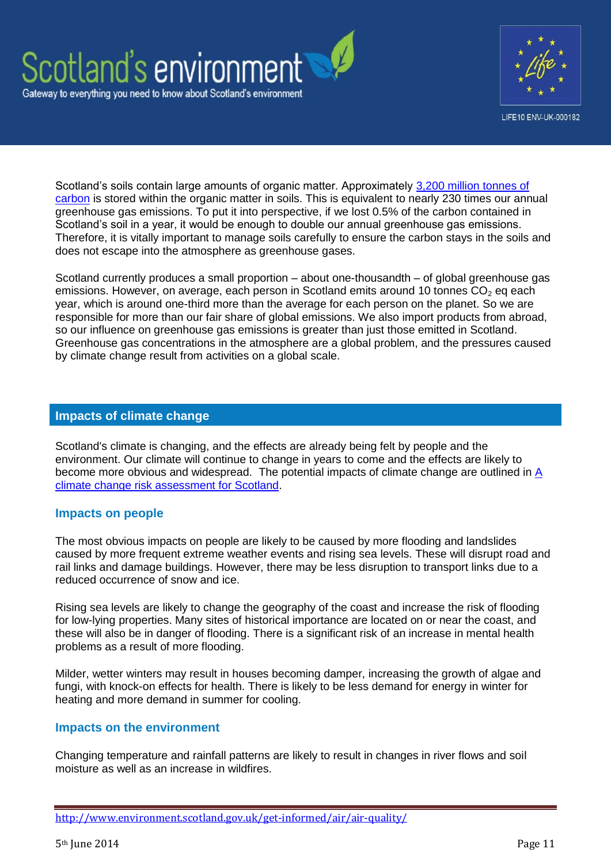



Scotland's soils contain large amounts of organic matter. Approximately [3,200 million tonnes of](http://www.sepa.org.uk/land/idoc.ashx?docid=f200543f-cb74-426f-bbf8-6e72f8fc0555&version=-1)  [carbon](http://www.sepa.org.uk/land/idoc.ashx?docid=f200543f-cb74-426f-bbf8-6e72f8fc0555&version=-1) is stored within the organic matter in soils. This is equivalent to nearly 230 times our annual greenhouse gas emissions. To put it into perspective, if we lost 0.5% of the carbon contained in Scotland's soil in a year, it would be enough to double our annual greenhouse gas emissions. Therefore, it is vitally important to manage soils carefully to ensure the carbon stays in the soils and does not escape into the atmosphere as greenhouse gases.

Scotland currently produces a small proportion – about one-thousandth – of global greenhouse gas emissions. However, on average, each person in Scotland emits around 10 tonnes  $CO<sub>2</sub>$  eg each year, which is around one-third more than the average for each person on the planet. So we are responsible for more than our fair share of global emissions. We also import products from abroad, so our influence on greenhouse gas emissions is greater than just those emitted in Scotland. Greenhouse gas concentrations in the atmosphere are a global problem, and the pressures caused by climate change result from activities on a global scale.

### **Impacts of climate change**

Scotland's climate is changing, and the effects are already being felt by people and the environment. Our climate will continue to change in years to come and the effects are likely to become more obvious and widespread. The potential impacts of climate change are outlined in A [climate change risk assessment for Scotland.](http://randd.defra.gov.uk/Document.aspx?Document=CCRAforScotland.pdf)

### **Impacts on people**

The most obvious impacts on people are likely to be caused by more flooding and landslides caused by more frequent extreme weather events and rising sea levels. These will disrupt road and rail links and damage buildings. However, there may be less disruption to transport links due to a reduced occurrence of snow and ice.

Rising sea levels are likely to change the geography of the coast and increase the risk of flooding for low-lying properties. Many sites of historical importance are located on or near the coast, and these will also be in danger of flooding. There is a significant risk of an increase in mental health problems as a result of more flooding.

Milder, wetter winters may result in houses becoming damper, increasing the growth of algae and fungi, with knock-on effects for health. There is likely to be less demand for energy in winter for heating and more demand in summer for cooling.

### **Impacts on the environment**

Changing temperature and rainfall patterns are likely to result in changes in river flows and soil moisture as well as an increase in wildfires.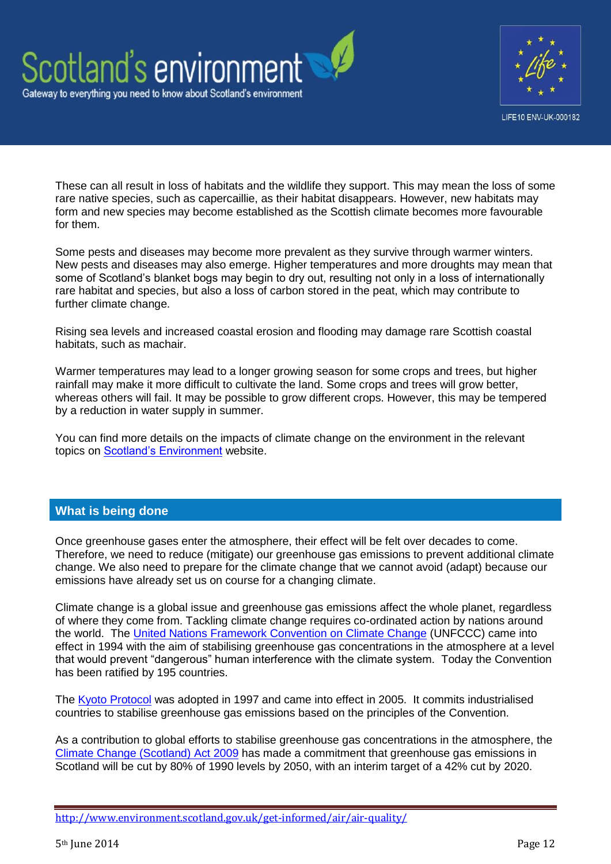



These can all result in loss of habitats and the wildlife they support. This may mean the loss of some rare native species, such as capercaillie, as their habitat disappears. However, new habitats may form and new species may become established as the Scottish climate becomes more favourable for them.

Some pests and diseases may become more prevalent as they survive through warmer winters. New pests and diseases may also emerge. Higher temperatures and more droughts may mean that some of Scotland's blanket bogs may begin to dry out, resulting not only in a loss of internationally rare habitat and species, but also a loss of carbon stored in the peat, which may contribute to further climate change.

Rising sea levels and increased coastal erosion and flooding may damage rare Scottish coastal habitats, such as machair.

Warmer temperatures may lead to a longer growing season for some crops and trees, but higher rainfall may make it more difficult to cultivate the land. Some crops and trees will grow better, whereas others will fail. It may be possible to grow different crops. However, this may be tempered by a reduction in water supply in summer.

You can find more details on the impacts of climate change on the environment in the relevant topics on **Scotland's Environment** website.

### **What is being done**

Once greenhouse gases enter the atmosphere, their effect will be felt over decades to come. Therefore, we need to reduce (mitigate) our greenhouse gas emissions to prevent additional climate change. We also need to prepare for the climate change that we cannot avoid (adapt) because our emissions have already set us on course for a changing climate.

Climate change is a global issue and greenhouse gas emissions affect the whole planet, regardless of where they come from. Tackling climate change requires co-ordinated action by nations around the world. The [United Nations Framework Convention on Climate Change](http://unfccc.int/essential_background/convention/items/6036.php) (UNFCCC) came into effect in 1994 with the aim of stabilising greenhouse gas concentrations in the atmosphere at a level that would prevent "dangerous" human interference with the climate system. Today the Convention has been ratified by 195 countries.

The [Kyoto Protocol](https://unfccc.int/essential_background/kyoto_protocol/items/6034.php) was adopted in 1997 and came into effect in 2005. It commits industrialised countries to stabilise greenhouse gas emissions based on the principles of the Convention.

As a contribution to global efforts to stabilise greenhouse gas concentrations in the atmosphere, the [Climate Change \(Scotland\) Act 2009](http://www.scotland.gov.uk/Topics/Environment/climatechange/scotlands-action/climatechangeact) has made a commitment that greenhouse gas emissions in Scotland will be cut by 80% of 1990 levels by 2050, with an interim target of a 42% cut by 2020.

<http://www.environment.scotland.gov.uk/get-informed/air/air-quality/>